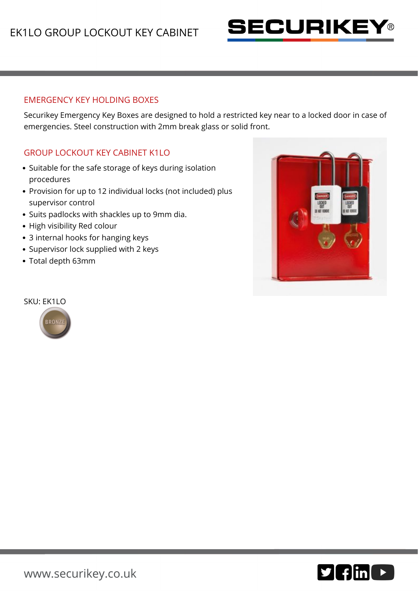

## EMERGENCY KEY HOLDING BOXES

Securikey Emergency Key Boxes are designed to hold a restricted key near to a locked door in case of emergencies. Steel construction with 2mm break glass or solid front.

## GROUP LOCKOUT KEY CABINET K1LO

- Suitable for the safe storage of keys during isolation procedures
- Provision for up to 12 individual locks (not included) plus supervisor control
- Suits padlocks with shackles up to 9mm dia.
- High visibility Red colour
- 3 internal hooks for hanging keys
- Supervisor lock supplied with 2 keys
- Total depth 63mm



#### SKU: EK1LO



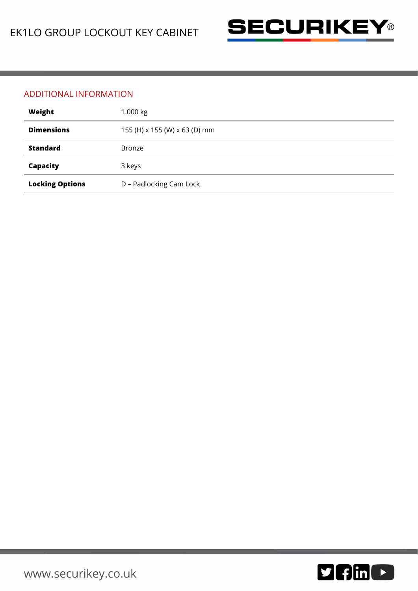

### ADDITIONAL INFORMATION

| Weight                 | 1.000 kg                      |
|------------------------|-------------------------------|
| <b>Dimensions</b>      | 155 (H) x 155 (W) x 63 (D) mm |
| <b>Standard</b>        | <b>Bronze</b>                 |
| Capacity               | 3 keys                        |
| <b>Locking Options</b> | D - Padlocking Cam Lock       |

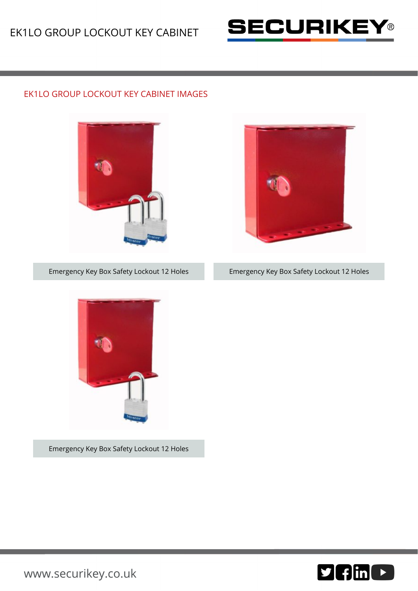

# EK1LO GROUP LOCKOUT KEY CABINET IMAGES





Emergency Key Box Safety Lockout 12 Holes





[www.securikey.co.uk](http://www.securikey.co.uk/)